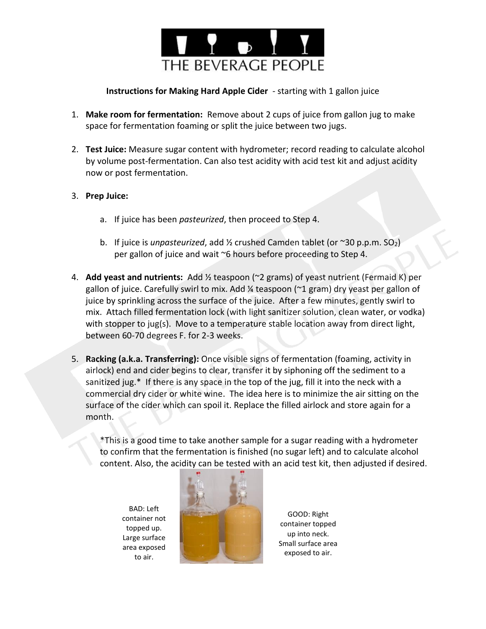

## **Instructions for Making Hard Apple Cider** - starting with 1 gallon juice

- 1. **Make room for fermentation:** Remove about 2 cups of juice from gallon jug to make space for fermentation foaming or split the juice between two jugs.
- 2. **Test Juice:** Measure sugar content with hydrometer; record reading to calculate alcohol by volume post-fermentation. Can also test acidity with acid test kit and adjust acidity now or post fermentation.

## 3. **Prep Juice:**

- a. If juice has been *pasteurized*, then proceed to Step 4.
- b. If juice is *unpasteurized*, add ½ crushed Camden tablet (or ~30 p.p.m. SO2) per gallon of juice and wait ~6 hours before proceeding to Step 4.
- 4. **Add yeast and nutrients:** Add ½ teaspoon (~2 grams) of yeast nutrient (Fermaid K) per gallon of juice. Carefully swirl to mix. Add ¼ teaspoon (~1 gram) dry yeast per gallon of juice by sprinkling across the surface of the juice. After a few minutes, gently swirl to mix. Attach filled fermentation lock (with light sanitizer solution, clean water, or vodka) with stopper to jug(s). Move to a temperature stable location away from direct light, between 60-70 degrees F. for 2-3 weeks.
- 5. **Racking (a.k.a. Transferring):** Once visible signs of fermentation (foaming, activity in airlock) end and cider begins to clear, transfer it by siphoning off the sediment to a sanitized jug.\* If there is any space in the top of the jug, fill it into the neck with a commercial dry cider or white wine. The idea here is to minimize the air sitting on the surface of the cider which can spoil it. Replace the filled airlock and store again for a month.

\*This is a good time to take another sample for a sugar reading with a hydrometer to confirm that the fermentation is finished (no sugar left) and to calculate alcohol content. Also, the acidity can be tested with an acid test kit, then adjusted if desired.

BAD: Left container not topped up. Large surface area exposed to air.



GOOD: Right container topped up into neck. Small surface area exposed to air.